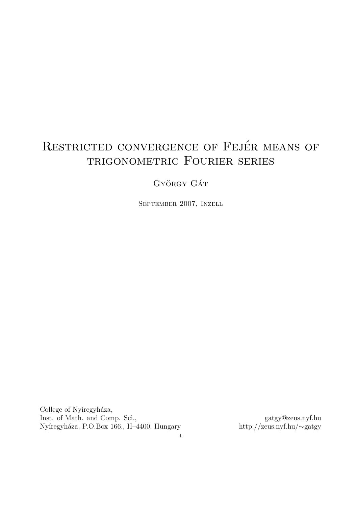# RESTRICTED CONVERGENCE OF FEJÉR MEANS OF trigonometric Fourier series

GYÖRGY GÁT

September 2007, Inzell

College of Nyíregyháza, Inst. of Math. and Comp. Sci., gatgy@zeus.nyf.hu gatgy@zeus.nyf.hu Nyíregyháza, P.O.Box 166., H-4400, Hungary http://zeus.nyf.hu/ $\sim$ gatgy Nyíregyháza, P.O.Box 166., H–4400, Hungary

1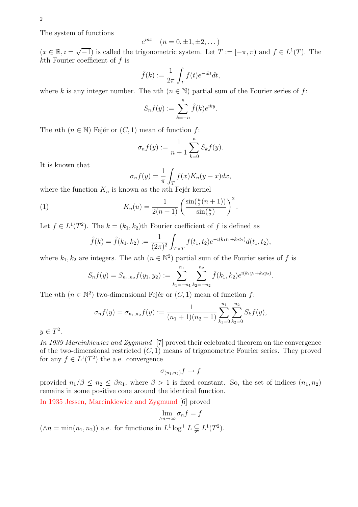The system of functions

$$
e^{inx} \quad (n = 0, \pm 1, \pm 2, \dots)
$$

 $(x \in \mathbb{R}, i =$ √  $\overline{-1}$ ) is called the trigonometric system. Let  $T := [-\pi, \pi)$  and  $f \in L^1(T)$ . The kth Fourier coefficient of  $f$  is

$$
\hat{f}(k) := \frac{1}{2\pi} \int_T f(t)e^{-ikt}dt,
$$

where k is any integer number. The nth  $(n \in \mathbb{N})$  partial sum of the Fourier series of f:

$$
S_n f(y) := \sum_{k=-n}^n \hat{f}(k) e^{iky}.
$$

The *n*th  $(n \in \mathbb{N})$  Fejér or  $(C, 1)$  mean of function f:

$$
\sigma_n f(y) := \frac{1}{n+1} \sum_{k=0}^n S_k f(y).
$$

It is known that

$$
\sigma_n f(y) = \frac{1}{\pi} \int_T f(x) K_n(y - x) dx,
$$
  
sum as the x<sup>th</sup> Foián karnol

where the function  $K_n$  is known as the *n*th Fejér kernel

(1) 
$$
K_n(u) = \frac{1}{2(n+1)} \left( \frac{\sin(\frac{u}{2}(n+1))}{\sin(\frac{u}{2})} \right)^2.
$$

Let  $f \in L^1(T^2)$ . The  $k = (k_1, k_2)$ th Fourier coefficient of f is defined as Z

$$
\hat{f}(k) = \hat{f}(k_1, k_2) := \frac{1}{(2\pi)^2} \int_{T \times T} f(t_1, t_2) e^{-i(k_1 t_1 + k_2 t_2)} d(t_1, t_2),
$$

where  $k_1, k_2$  are integers. The *n*th  $(n \in \mathbb{N}^2)$  partial sum of the Fourier series of f is

$$
S_n f(y) = S_{n_1, n_2} f(y_1, y_2) := \sum_{k_1 = -n_1}^{n_1} \sum_{k_2 = -n_2}^{n_2} \hat{f}(k_1, k_2) e^{\imath (k_1 y_1 + k_2 y_2)}.
$$

The *n*th  $(n \in \mathbb{N}^2)$  two-dimensional Fejér or  $(C, 1)$  mean of function f:

$$
\sigma_n f(y) = \sigma_{n_1, n_2} f(y) := \frac{1}{(n_1 + 1)(n_2 + 1)} \sum_{k_1=0}^{n_1} \sum_{k_2=0}^{n_2} S_k f(y),
$$

 $y \in T^2$ .

In 1939 Marcinkiewicz and Zygmund [7] proved their celebrated theorem on the convergence of the two-dimensional restricted  $(C, 1)$  means of trigonometric Fourier series. They proved for any  $f \in L^1(T^2)$  the a.e. convergence

$$
\sigma_{(n_1,n_2)}f \to f
$$

provided  $n_1/\beta \leq n_2 \leq \beta n_1$ , where  $\beta > 1$  is fixed constant. So, the set of indices  $(n_1, n_2)$ remains in some positive cone around the identical function.

In 1935 Jessen, Marcinkiewicz and Zygmund [6] proved

$$
\lim_{\wedge n \to \infty} \sigma_n f = f
$$

 $(\wedge n = \min(n_1, n_2))$  a.e. for functions in  $L^1 \log^+ L \subsetneq L^1(T^2)$ .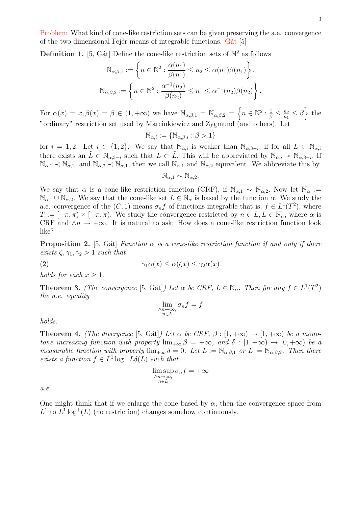Problem: What kind of cone-like restriction sets can be given preserving the a.e. convergence of the two-dimensional Fejér means of integrable functions. Gát [5]

**Definition 1.** [5, Gát] Define the cone-like restriction sets of  $\mathbb{N}^2$  as follows  $\ddot{\phantom{1}}$ 

$$
\mathbb{N}_{\alpha,\beta,1} := \left\{ n \in \mathbb{N}^2 : \frac{\alpha(n_1)}{\beta(n_1)} \le n_2 \le \alpha(n_1)\beta(n_1) \right\},\
$$

$$
\mathbb{N}_{\alpha,\beta,2} := \left\{ n \in \mathbb{N}^2 : \frac{\alpha^{-1}(n_2)}{\beta(n_2)} \le n_1 \le \alpha^{-1}(n_2)\beta(n_2) \right\}.
$$

For  $\alpha(x) = x, \beta(x) = \beta \in (1, +\infty)$  we have  $\mathbb{N}_{\alpha,\beta,1} = \mathbb{N}_{\alpha,\beta,2} =$ n  $n \in \mathbb{N}^2 : \frac{1}{\beta} \leq \frac{n_2}{n_1}$  $\frac{n_2}{n_1} \leq \beta$ o the "ordinary" restriction set used by Marcinkiewicz and Zygmund (and others). Let

$$
\mathbb{N}_{\alpha,i} := \{ \mathbb{N}_{\alpha,\beta,i} : \beta > 1 \}
$$

for  $i = 1, 2$ . Let  $i \in \{1, 2\}$ . We say that  $\mathbb{N}_{\alpha,i}$  is weaker than  $\mathbb{N}_{\alpha,3-i}$ , if for all  $L \in \mathbb{N}_{\alpha,i}$ there exists an  $\tilde{L} \in \mathbb{N}_{\alpha,3-i}$  such that  $L \subset \tilde{L}$ . This will be abbreviated by  $\mathbb{N}_{\alpha,i} \prec \mathbb{N}_{\alpha,3-i}$ . If  $\mathbb{N}_{\alpha,1} \prec \mathbb{N}_{\alpha,2}$ , and  $\mathbb{N}_{\alpha,2} \prec \mathbb{N}_{\alpha,1}$ , then we call  $\mathbb{N}_{\alpha,1}$  and  $\mathbb{N}_{\alpha,2}$  equivalent. We abbreviate this by

 $\mathbb{N}_{\alpha}$ <sub>1</sub> ∼  $\mathbb{N}_{\alpha}$ <sup>2</sup>.

We say that  $\alpha$  is a cone-like restriction function (CRF), if  $\mathbb{N}_{\alpha,1} \sim \mathbb{N}_{\alpha,2}$ . Now let  $\mathbb{N}_{\alpha} :=$  $\mathbb{N}_{\alpha,1} \cup \mathbb{N}_{\alpha,2}$ . We say that the cone-like set  $L \in \mathbb{N}_{\alpha}$  is based by the function  $\alpha$ . We study the a.e. convergence of the  $(C, 1)$  means  $\sigma_n f$  of functions integrable that is,  $f \in L^1(T^2)$ , where  $T := [-\pi, \pi) \times [-\pi, \pi)$ . We study the convergence restricted by  $n \in L, L \in \mathbb{N}_{\alpha}$ , where  $\alpha$  is CRF and  $\wedge n \to +\infty$ . It is natural to ask: How does a cone-like restriction function look like?

**Proposition 2.** [5, Gát] Function  $\alpha$  is a cone-like restriction function if and only if there exists  $\zeta$ ,  $\gamma_1$ ,  $\gamma_2 > 1$  such that

(2) 
$$
\gamma_1 \alpha(x) \leq \alpha(\zeta x) \leq \gamma_2 \alpha(x)
$$

holds for each  $x \geq 1$ .

**Theorem 3.** (The convergence [5, Gát]) Let  $\alpha$  be CRF,  $L \in \mathbb{N}_{\alpha}$ . Then for any  $f \in L^1(T^2)$ the a.e. equality

$$
\lim_{\substack{\wedge n \to \infty, \\ n \in L}} \sigma_n f = f
$$

holds.

**Theorem 4.** (The divergence [5, Gát]) Let  $\alpha$  be CRF,  $\beta$  :  $[1, +\infty) \rightarrow [1, +\infty)$  be a monotone increasing function with property  $\lim_{+\infty} \beta = +\infty$ , and  $\delta : [1, +\infty) \to [0, +\infty)$  be a measurable function with property  $\lim_{+\infty} \delta = 0$ . Let  $L := \mathbb{N}_{\alpha,\beta,1}$  or  $L := \mathbb{N}_{\alpha,\beta,2}$ . Then there exists a function  $f \in L^1 \log^+ L\delta(L)$  such that

$$
\limsup_{\substack{\wedge n \to \infty, \\ n \in L}} \sigma_n f = +\infty
$$

a.e.

One might think that if we enlarge the cone based by  $\alpha$ , then the convergence space from  $L^1$  to  $L^1$  log<sup>+</sup>(L) (no restriction) changes somehow continuously.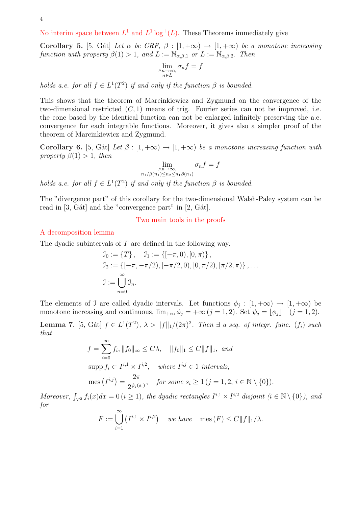No interim space between  $L^1$  and  $L^1 \log^+(L)$ . These Theorems immediately give

Corollary 5. [5, Gát] Let  $\alpha$  be CRF,  $\beta : [1, +\infty) \rightarrow [1, +\infty)$  be a monotone increasing function with property  $\beta(1) > 1$ , and  $L := \mathbb{N}_{\alpha,\beta,1}$  or  $L := \mathbb{N}_{\alpha,\beta,2}$ . Then

$$
\lim_{\substack{\wedge n \to \infty \\ n \in L}} \sigma_n f = f
$$

holds a.e. for all  $f \in L^1(T^2)$  if and only if the function  $\beta$  is bounded.

This shows that the theorem of Marcinkiewicz and Zygmund on the convergence of the two-dimensional restricted  $(C, 1)$  means of trig. Fourier series can not be improved, i.e. the cone based by the identical function can not be enlarged infinitely preserving the a.e. convergence for each integrable functions. Moreover, it gives also a simpler proof of the theorem of Marcinkiewicz and Zygmund.

Corollary 6. [5, Gát] Let  $\beta : [1, +\infty) \to [1, +\infty)$  be a monotone increasing function with property  $\beta(1) > 1$ , then

$$
\lim_{\substack{\wedge n \to \infty, \\ n_1/\beta(n_1) \le n_2 \le n_1 \beta(n_1)}} \sigma_n f = f
$$

holds a.e. for all  $f \in L^1(T^2)$  if and only if the function  $\beta$  is bounded.

The "divergence part" of this corollary for the two-dimensional Walsh-Paley system can be read in  $[3, G<sub>4</sub>$  and the "convergence part" in  $[2, G<sub>4</sub>$ .

## Two main tools in the proofs

### A decomposition lemma

The dyadic subintervals of T are defined in the following way.

$$
J_0 := \{T\}, \quad J_1 := \{[-\pi, 0), [0, \pi)\},
$$
  
\n
$$
J_2 := \{[-\pi, -\pi/2), [-\pi/2, 0), [0, \pi/2), [\pi/2, \pi)\}, \dots
$$
  
\n
$$
J := \bigcup_{n=0}^{\infty} J_n.
$$

The elements of J are called dyadic intervals. Let functions  $\phi_j : [1, +\infty) \to [1, +\infty)$  be monotone increasing and continuous,  $\lim_{+\infty} \phi_j = +\infty (j = 1, 2)$ . Set  $\psi_j = [\phi_j]$   $(j = 1, 2)$ .

**Lemma 7.** [5, Gát]  $f \in L^1(T^2)$ ,  $\lambda > ||f||_1/(2\pi)^2$ . Then  $\exists$  a seq. of integr. func. (f<sub>i</sub>) such that

$$
f = \sum_{i=0}^{\infty} f_i, ||f_0||_{\infty} \le C\lambda, \quad ||f_0||_1 \le C||f||_1, \text{ and}
$$
  
\n
$$
\text{supp } f_i \subset I^{i,1} \times I^{i,2}, \quad \text{where } I^{i,j} \in \mathcal{I} \text{ intervals,}
$$
  
\n
$$
\text{mes } (I^{i,j}) = \frac{2\pi}{2^{\psi_j(s_i)}}, \quad \text{for some } s_i \ge 1 \ (j = 1, 2, i \in \mathbb{N} \setminus \{0\}).
$$
  
\n
$$
f(\infty) \text{d} \in \mathcal{A} \times \{0, 1\} \text{ the dual is metangled, } I^{i,1} \times I^{i,2} \text{ disjoint } (i \in \mathbb{N} \setminus \{0\}).
$$

Moreover,  $\int_{T^2} f_i(x)dx = 0$   $(i \ge 1)$ , the dyadic rectangles  $I^{i,1} \times I^{i,2}$  disjoint  $(i \in \mathbb{N} \setminus \{0\})$ , and for

$$
F := \bigcup_{i=1}^{\infty} (I^{i,1} \times I^{i,2}) \quad we \; have \quad \text{mes}(F) \le C ||f||_1 / \lambda.
$$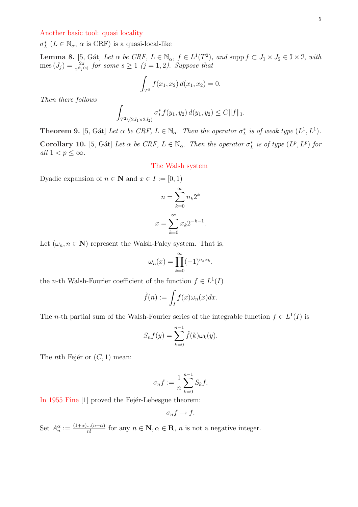### Another basic tool: quasi locality

 $\sigma_L^*$  ( $L \in \mathbb{N}_{\alpha}$ ,  $\alpha$  is CRF) is a quasi-local-like

**Lemma 8.** [5, Gát] Let  $\alpha$  be CRF,  $L \in \mathbb{N}_{\alpha}$ ,  $f \in L^1(T^2)$ , and supp  $f \subset J_1 \times J_2 \in \mathcal{I} \times \mathcal{I}$ , with  $\text{mes}\,(J_j)=\frac{2\pi}{2^{\psi_j(s)}}$  for some  $s\geq 1$   $(j=1,2)$ . Suppose that

$$
\int_{T^2} f(x_1, x_2) \, d(x_1, x_2) = 0.
$$

Then there follows

$$
\int_{T^2 \setminus (2J_1 \times 2J_2)} \sigma_L^* f(y_1, y_2) d(y_1, y_2) \le C \|f\|_1.
$$

**Theorem 9.** [5, Gát] Let  $\alpha$  be CRF,  $L \in \mathbb{N}_{\alpha}$ . Then the operator  $\sigma_L^*$  is of weak type  $(L^1, L^1)$ . Corollary 10. [5, Gát] Let  $\alpha$  be CRF,  $L \in \mathbb{N}_{\alpha}$ . Then the operator  $\sigma_L^*$  is of type  $(L^p, L^p)$  for all  $1 < p \leq \infty$ .

#### The Walsh system

Dyadic expansion of  $n \in \mathbb{N}$  and  $x \in I := [0, 1)$ 

$$
n = \sum_{k=0}^{\infty} n_k 2^k
$$

$$
x = \sum_{k=0}^{\infty} x_k 2^{-k-1}.
$$

Let  $(\omega_n, n \in \mathbb{N})$  represent the Walsh-Paley system. That is,

$$
\omega_n(x) = \prod_{k=0}^{\infty} (-1)^{n_k x_k}.
$$

the *n*-th Walsh-Fourier coefficient of the function  $f \in L^1(I)$ 

$$
\hat{f}(n) := \int_I f(x)\omega_n(x)dx.
$$

The *n*-th partial sum of the Walsh-Fourier series of the integrable function  $f \in L^1(I)$  is

$$
S_n f(y) = \sum_{k=0}^{n-1} \hat{f}(k) \omega_k(y).
$$

The *n*th Fejér or  $(C, 1)$  mean:

$$
\sigma_n f := \frac{1}{n} \sum_{k=0}^{n-1} S_k f.
$$

In 1955 Fine [1] proved the Fejér-Lebesgue theorem:

$$
\sigma_n f \to f.
$$

Set  $A_n^{\alpha} := \frac{(1+\alpha)...(n+\alpha)}{n!}$  $\frac{n!(n+\alpha)}{n!}$  for any  $n \in \mathbb{N}, \alpha \in \mathbb{R}, n$  is not a negative integer.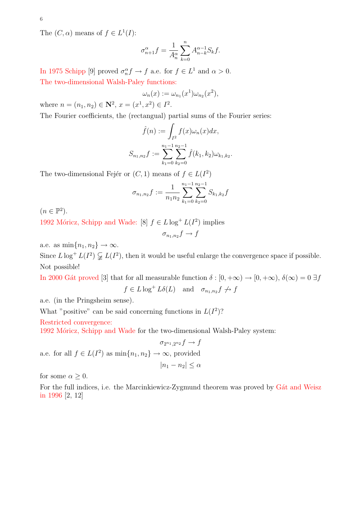The  $(C, \alpha)$  means of  $f \in L^1(I)$ :

$$
\sigma_{n+1}^{\alpha}f = \frac{1}{A_n^{\alpha}} \sum_{k=0}^{n} A_{n-k}^{\alpha-1} S_k f.
$$

In 1975 Schipp [9] proved  $\sigma_n^{\alpha} f \to f$  a.e. for  $f \in L^1$  and  $\alpha > 0$ . The two-dimensional Walsh-Paley functions:

$$
\omega_n(x) := \omega_{n_1}(x^1)\omega_{n_2}(x^2),
$$

where  $n = (n_1, n_2) \in \mathbb{N}^2$ ,  $x = (x^1, x^2) \in I^2$ .

The Fourier coefficients, the (rectangual) partial sums of the Fourier series:

$$
\hat{f}(n) := \int_{I^2} f(x)\omega_n(x)dx,
$$

$$
S_{n_1,n_2}f := \sum_{k_1=0}^{n_1-1} \sum_{k_2=0}^{n_2-1} \hat{f}(k_1, k_2)\omega_{k_1,k_2}
$$

.

The two-dimensional Fejér or  $(C, 1)$  means of  $f \in L(I^2)$ 

$$
\sigma_{n_1,n_2}f := \frac{1}{n_1 n_2} \sum_{k_1=0}^{n_1-1} \sum_{k_2=0}^{n_2-1} S_{k_1,k_2}f
$$

 $(n \in \mathbb{P}^2).$ 

1992 Móricz, Schipp and Wade: [8]  $f \in L \log^+ L(I^2)$  implies

$$
\sigma_{n_1,n_2}f \to f
$$

a.e. as  $\min\{n_1, n_2\} \to \infty$ .

Since  $L \log^+ L(I^2) \subsetneq L(I^2)$ , then it would be useful enlarge the convergence space if possible. Not possible!

In 2000 Gat proved [3] that for all measurable function  $\delta : [0, +\infty) \to [0, +\infty)$ ,  $\delta(\infty) = 0 \exists f$  $f \in L \log^+ L \delta(L)$  and  $\sigma_{n_1, n_2} f \not\rightarrow f$ 

a.e. (in the Pringsheim sense).

What "positive" can be said concerning functions in  $L(I^2)$ ?

Restricted convergence:

1992 Móricz, Schipp and Wade for the two-dimensional Walsh-Paley system:

 $\sigma_{2^{n_1},2^{n_2}}f \to f$ a.e. for all  $f \in L(I^2)$  as  $\min\{n_1, n_2\} \to \infty$ , provided  $|n_1 - n_2| \leq \alpha$ 

for some  $\alpha \geq 0$ .

For the full indices, i.e. the Marcinkiewicz-Zygmund theorem was proved by Gat and Weisz in 1996 [2, 12]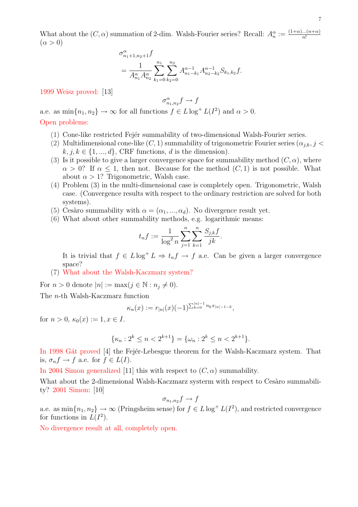What about the  $(C, \alpha)$  summation of 2-dim. Walsh-Fourier series? Recall:  $A_n^{\alpha} := \frac{(1+\alpha)...(n+\alpha)}{n!}$ n!  $(\alpha > 0)$ 

$$
\sigma_{n_1+1,n_2+1}^{\alpha} f
$$
\n
$$
= \frac{1}{A_{n_1}^{\alpha} A_{n_2}^{\alpha}} \sum_{k_1=0}^{n_1} \sum_{k_2=0}^{n_2} A_{n_1-k_1}^{\alpha-1} A_{n_2-k_2}^{\alpha-1} S_{k_1,k_2} f.
$$

1999 Weisz proved: [13]

$$
\sigma_{n_1,n_2}^{\alpha}f \to f
$$

a.e. as  $\min\{n_1, n_2\} \to \infty$  for all functions  $f \in L \log^+ L(I^2)$  and  $\alpha > 0$ .

# Open problems:

- (1) Cone-like restricted Fejér summability of two-dimensional Walsh-Fourier series.
- (2) Multidimensional cone-like  $(C, 1)$  summability of trigonometric Fourier series  $(\alpha_{i,k}, j <$  $k, j, k \in \{1, ..., d\}$ , CRF functions, d is the dimension).
- (3) Is it possible to give a larger convergence space for summability method  $(C, \alpha)$ , where  $\alpha > 0$ ? If  $\alpha \leq 1$ , then not. Because for the method  $(C, 1)$  is not possible. What about  $\alpha > 1$ ? Trigonometric, Walsh case.
- (4) Problem (3) in the multi-dimensional case is completely open. Trigonometric, Walsh case. (Convergence results with respect to the ordinary restriction are solved for both systems).
- (5) Cesàro summability with  $\alpha = (\alpha_1, ..., \alpha_d)$ . No divergence result yet.
- (6) What about other summability methods, e.g. logarithmic means:

$$
t_n f := \frac{1}{\log^2 n} \sum_{j=1}^n \sum_{k=1}^n \frac{S_{j,k} f}{jk}.
$$

It is trivial that  $f \in L \log^+ L \Rightarrow t_n f \to f$  a.e. Can be given a larger convergence space?

(7) What about the Walsh-Kaczmarz system?

For  $n > 0$  denote  $|n| := \max(j \in \mathbb{N} : n_j \neq 0)$ .

The n-th Walsh-Kaczmarz function

$$
\kappa_n(x) := r_{|n|}(x)(-1)^{\sum_{k=0}^{|n|-1} n_k x_{|n|-1-k}},
$$

for  $n > 0$ ,  $\kappa_0(x) := 1, x \in I$ .

$$
\{\kappa_n: 2^k \le n < 2^{k+1}\} = \{\omega_n: 2^k \le n < 2^{k+1}\}.
$$

In 1998 Gat proved [4] the Fejer-Lebesgue theorem for the Walsh-Kaczmarz system. That is,  $\sigma_n f \to f$  a.e. for  $f \in L(I)$ .

In 2004 Simon generalized [11] this with respect to  $(C, \alpha)$  summability.

What about the 2-dimensional Walsh-Kaczmarz systerm with respect to Cesaro summability? 2001 Simon: [10]

$$
\sigma_{n_1,n_2}f \to f
$$

a.e. as  $\min\{n_1, n_2\} \to \infty$  (Pringsheim sense) for  $f \in L \log^+ L(I^2)$ , and restricted convergence for functions in  $L(I^2)$ .

No divergence result at all, completely open.